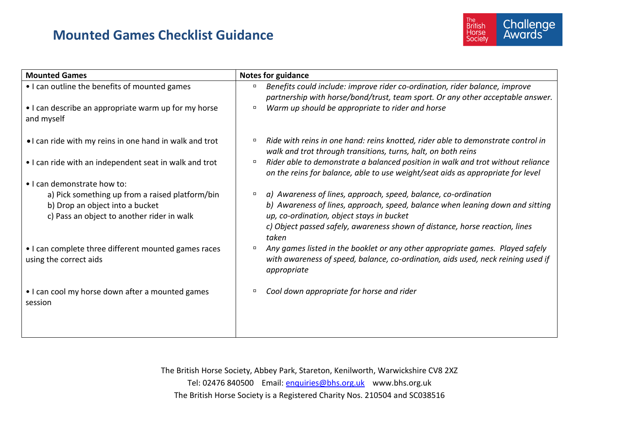## **Mounted Games Checklist Guidance**



| <b>Mounted Games</b>                                                                                                             | <b>Notes for guidance</b>                                                                                                                                                                              |
|----------------------------------------------------------------------------------------------------------------------------------|--------------------------------------------------------------------------------------------------------------------------------------------------------------------------------------------------------|
| • I can outline the benefits of mounted games                                                                                    | Benefits could include: improve rider co-ordination, rider balance, improve<br>partnership with horse/bond/trust, team sport. Or any other acceptable answer.                                          |
| • I can describe an appropriate warm up for my horse<br>and myself                                                               | Warm up should be appropriate to rider and horse<br>$\Box$                                                                                                                                             |
| . I can ride with my reins in one hand in walk and trot                                                                          | Ride with reins in one hand: reins knotted, rider able to demonstrate control in<br>$\Box$<br>walk and trot through transitions, turns, halt, on both reins                                            |
| • I can ride with an independent seat in walk and trot                                                                           | Rider able to demonstrate a balanced position in walk and trot without reliance<br>$\Box$<br>on the reins for balance, able to use weight/seat aids as appropriate for level                           |
| • I can demonstrate how to:                                                                                                      |                                                                                                                                                                                                        |
| a) Pick something up from a raised platform/bin<br>b) Drop an object into a bucket<br>c) Pass an object to another rider in walk | a) Awareness of lines, approach, speed, balance, co-ordination<br>$\Box$<br>b) Awareness of lines, approach, speed, balance when leaning down and sitting<br>up, co-ordination, object stays in bucket |
|                                                                                                                                  | c) Object passed safely, awareness shown of distance, horse reaction, lines<br>taken                                                                                                                   |
| • I can complete three different mounted games races<br>using the correct aids                                                   | Any games listed in the booklet or any other appropriate games. Played safely<br>$\Box$<br>with awareness of speed, balance, co-ordination, aids used, neck reining used if<br>appropriate             |
| • I can cool my horse down after a mounted games<br>session                                                                      | Cool down appropriate for horse and rider<br>$\Box$                                                                                                                                                    |
|                                                                                                                                  |                                                                                                                                                                                                        |

The British Horse Society, Abbey Park, Stareton, Kenilworth, Warwickshire CV8 2XZ Tel: 02476 840500 Email: [enquiries@bhs.org.uk](mailto:enquiries@bhs.org.uk) www.bhs.org.uk The British Horse Society is a Registered Charity Nos. 210504 and SC038516